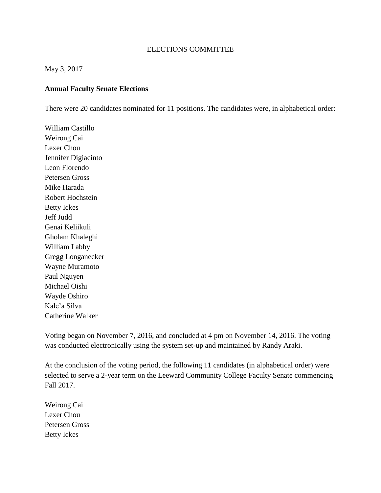## ELECTIONS COMMITTEE

## May 3, 2017

## **Annual Faculty Senate Elections**

There were 20 candidates nominated for 11 positions. The candidates were, in alphabetical order:

William Castillo Weirong Cai Lexer Chou Jennifer Digiacinto Leon Florendo Petersen Gross Mike Harada Robert Hochstein Betty Ickes Jeff Judd Genai Keliikuli Gholam Khaleghi William Labby Gregg Longanecker Wayne Muramoto Paul Nguyen Michael Oishi Wayde Oshiro Kale'a Silva Catherine Walker

Voting began on November 7, 2016, and concluded at 4 pm on November 14, 2016. The voting was conducted electronically using the system set-up and maintained by Randy Araki.

At the conclusion of the voting period, the following 11 candidates (in alphabetical order) were selected to serve a 2-year term on the Leeward Community College Faculty Senate commencing Fall 2017.

Weirong Cai Lexer Chou Petersen Gross Betty Ickes